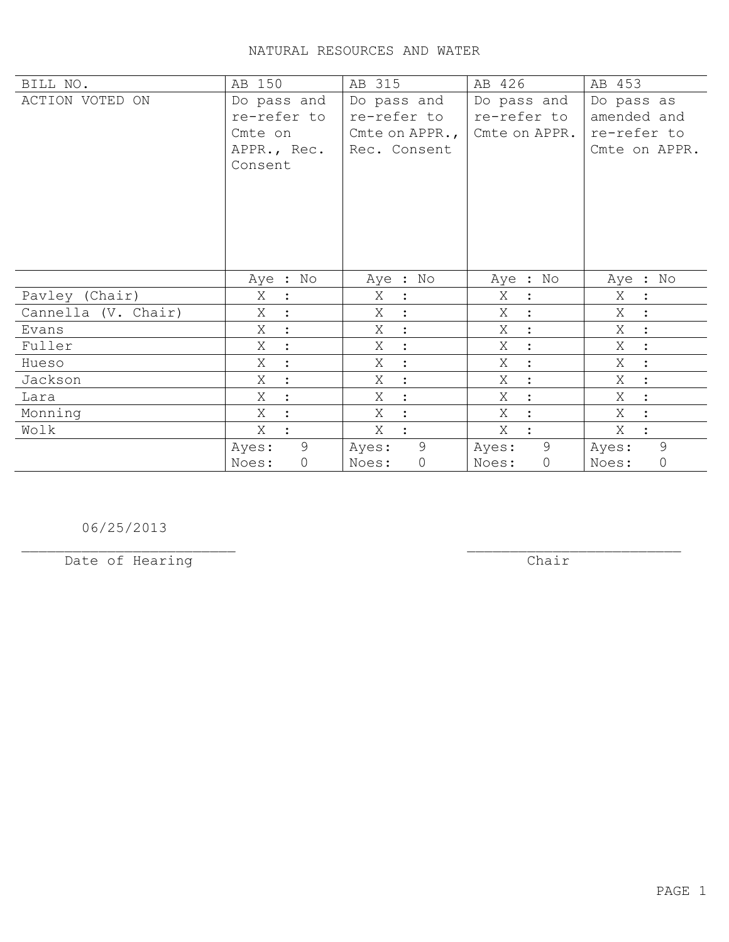| BILL NO.            | AB 150               | AB 315                      | AB 426              | AB 453                      |
|---------------------|----------------------|-----------------------------|---------------------|-----------------------------|
| ACTION VOTED ON     | Do pass and          | Do pass and                 | Do pass and         | Do pass as                  |
|                     | re-refer to          | re-refer to                 | re-refer to         | amended and                 |
|                     | Cmte on              | Cmte on APPR.,              | Cmte on APPR.       | re-refer to                 |
|                     | APPR., Rec.          | Rec. Consent                |                     | Cmte on APPR.               |
|                     | Consent              |                             |                     |                             |
|                     |                      |                             |                     |                             |
|                     |                      |                             |                     |                             |
|                     |                      |                             |                     |                             |
|                     |                      |                             |                     |                             |
|                     |                      |                             |                     |                             |
|                     |                      |                             |                     |                             |
|                     | Aye : No             | Aye : No                    | Aye : No            | Aye : No                    |
| Pavley (Chair)      | Χ<br>$\ddot{\cdot}$  | Χ<br>$\mathbf{L}$           | Χ<br>$\ddot{\cdot}$ | Χ<br>$\mathbf{L}$           |
| Cannella (V. Chair) | Χ                    | X<br>$\ddot{\phantom{1}}$ : | X<br>$\ddot{\cdot}$ | Χ<br>$\ddot{\phantom{0}}$ : |
| Evans               | Χ<br>$\ddot{\cdot}$  | X<br>$\ddot{\cdot}$         | Χ<br>$\ddot{\cdot}$ | Χ<br>$\mathbb{R}^2$         |
| Fuller              | X<br>$\ddot{\cdot}$  | X<br>$\sim$ 1 $^{\circ}$    | X<br>$\ddot{\cdot}$ | X<br>$\mathbb{R}^2$         |
| Hueso               | Χ<br>$\ddot{\cdot}$  | Χ<br>$\ddot{\cdot}$         | Χ<br>$\ddot{\cdot}$ | Χ<br>$\ddot{\cdot}$         |
| Jackson             | X                    | X<br>$\cdot$ :              | Χ<br>$\ddot{\cdot}$ | X<br>$\ddot{\cdot}$         |
| Lara                | Χ                    | Χ<br>$\ddot{\cdot}$         | Χ<br>$\ddot{\cdot}$ | Χ<br>$\ddot{\cdot}$         |
| Monning             | X                    | X<br>$\ddot{\cdot}$         | X<br>$\ddot{\cdot}$ | X                           |
| Wolk                | X                    | X                           | X                   | X<br>$\ddot{\cdot}$         |
|                     | 9<br>Ayes:           | 9<br>Ayes:                  | 9<br>Ayes:          | 9<br>Ayes:                  |
|                     | $\mathbf 0$<br>Noes: | $\circledcirc$<br>Noes:     | $\circ$<br>Noes:    | $\circ$<br>Noes:            |

06/25/2013

Date of Hearing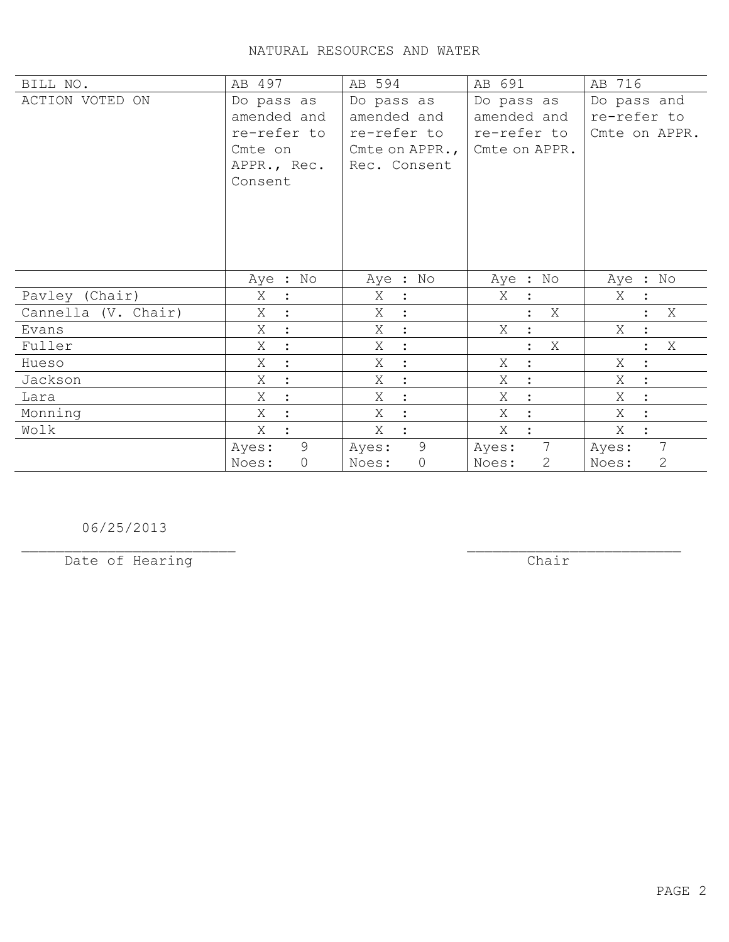| BILL NO.            | AB 497                  | AB 594               | AB 691              | AB 716                |
|---------------------|-------------------------|----------------------|---------------------|-----------------------|
| ACTION VOTED ON     | Do pass as              | Do pass as           | Do pass as          | Do pass and           |
|                     | amended and             | amended and          | amended and         | re-refer to           |
|                     | re-refer to             | re-refer to          | re-refer to         | Cmte on APPR.         |
|                     | Cmte on                 | Cmte on APPR., $ $   | Cmte on APPR.       |                       |
|                     | APPR., Rec.             | Rec. Consent         |                     |                       |
|                     | Consent                 |                      |                     |                       |
|                     |                         |                      |                     |                       |
|                     |                         |                      |                     |                       |
|                     |                         |                      |                     |                       |
|                     |                         |                      |                     |                       |
|                     |                         |                      |                     |                       |
|                     | Aye : No                | Aye : No             | Aye : No            | Aye : No              |
| Pavley (Chair)      | Χ<br>$\ddot{\cdot}$     | Χ<br>$\ddot{\cdot}$  | X                   | Χ                     |
| Cannella (V. Chair) | Χ                       | Χ<br>$\ddot{\cdot}$  | Χ                   | X                     |
| Evans               | Χ<br>$\ddot{\cdot}$     | Χ<br>$\ddot{\cdot}$  | Χ<br>$\ddot{\cdot}$ | Χ<br>$\ddot{\cdot}$   |
| Fuller              | Χ                       | X<br>$\ddot{\cdot}$  | X                   | X<br>$\ddot{\cdot}$   |
| Hueso               | Χ<br>$\ddot{\cdot}$     | Χ<br>$\ddot{\cdot}$  | Χ<br>$\ddot{\cdot}$ | Χ<br>$\ddot{\cdot}$   |
| Jackson             | Χ                       | X<br>$\ddot{\cdot}$  | Χ<br>$\ddot{\cdot}$ | Χ<br>$\ddot{\cdot}$   |
| Lara                | X                       | Χ<br>$\ddot{\cdot}$  | X<br>$\cdot$        | Χ<br>$\ddot{\cdot}$   |
| Monning             | Χ                       | Χ                    | Χ                   | Χ<br>$\ddot{\cdot}$   |
| Wolk                | X                       | Χ<br>$\ddot{\cdot}$  | Χ                   | Χ<br>$\ddot{\cdot}$   |
|                     | 9<br>Ayes:              | 9<br>Ayes:           | 7<br>Ayes:          | 7<br>Ayes:            |
|                     | $\overline{0}$<br>Noes: | $\mathbf 0$<br>Noes: | 2<br>Noes:          | $\mathbf{2}$<br>Noes: |

06/25/2013

Date of Hearing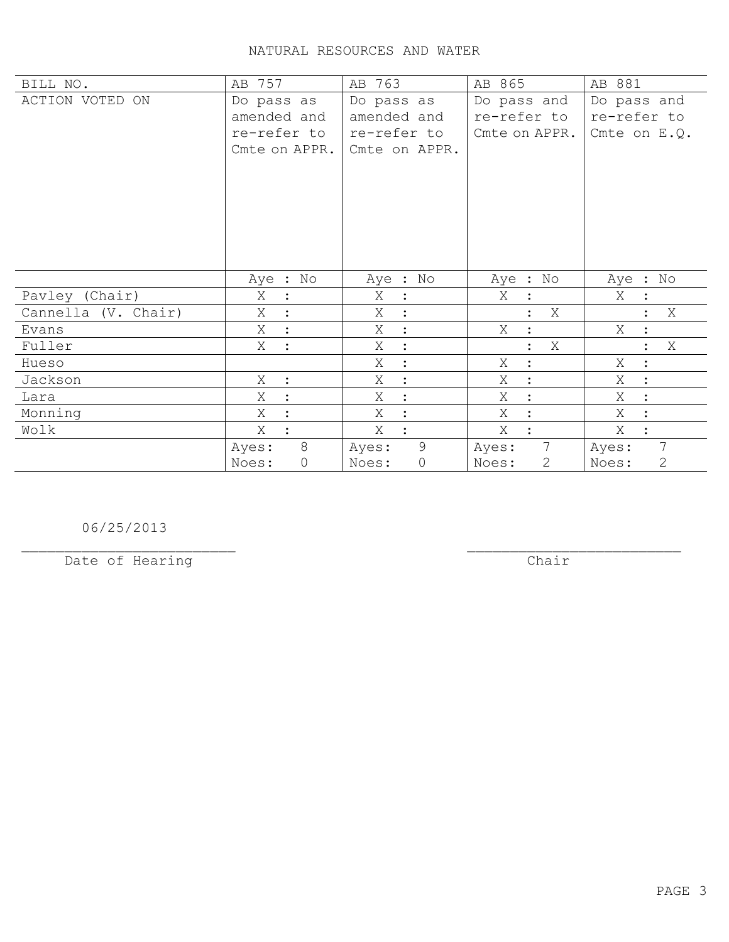| BILL NO.            | AB 757              | AB 763              | AB 865              | AB 881              |
|---------------------|---------------------|---------------------|---------------------|---------------------|
| ACTION VOTED ON     | Do pass as          | Do pass as          | Do pass and         | Do pass and         |
|                     | amended and         | amended and         | re-refer to         | re-refer to         |
|                     | re-refer to         | re-refer to         | Cmte on APPR.       | Cmte on $E.Q.$      |
|                     | Cmte on APPR.       | Cmte on APPR.       |                     |                     |
|                     |                     |                     |                     |                     |
|                     |                     |                     |                     |                     |
|                     |                     |                     |                     |                     |
|                     |                     |                     |                     |                     |
|                     |                     |                     |                     |                     |
|                     |                     |                     |                     |                     |
|                     |                     |                     |                     |                     |
|                     | Aye : No            | Aye : No            | No<br>Aye :         | Aye : No            |
| Pavley (Chair)      | X<br>$\ddot{\cdot}$ | Χ<br>$\ddot{\cdot}$ | Χ<br>$\ddot{\cdot}$ | Χ                   |
| Cannella (V. Chair) | Χ<br>$\ddot{\cdot}$ | X<br>$\ddot{\cdot}$ | Χ                   | Χ                   |
|                     |                     |                     |                     |                     |
| Evans               | Χ<br>$\ddot{\cdot}$ | Χ<br>$\ddot{\cdot}$ | Χ<br>$\ddot{\cdot}$ | Χ<br>$\ddot{\cdot}$ |
| Fuller              | X<br>$\ddot{\cdot}$ | Χ<br>$\ddot{\cdot}$ | Χ<br>$\ddot{\cdot}$ | Χ<br>$\ddot{\cdot}$ |
| Hueso               |                     | Χ<br>$\cdot$        | Χ<br>$\bullet$      | Χ<br>$\ddot{\cdot}$ |
| Jackson             | X<br>$\ddot{\cdot}$ | Χ<br>$\ddot{\cdot}$ | X                   | Χ                   |
| Lara                | X                   | Χ<br>$\ddot{\cdot}$ | X                   | X                   |
| Monning             | Χ                   | Χ<br>$\ddot{\cdot}$ | Χ                   | Χ<br>$\ddot{\cdot}$ |
| Wolk                | X                   | Χ<br>$\ddot{\cdot}$ | X<br>$\cdot$        | Χ<br>$\ddot{\cdot}$ |
|                     | 8<br>Ayes:          | 9<br>Ayes:          | 7<br>Ayes:          | 7<br>Ayes:          |

06/25/2013

Date of Hearing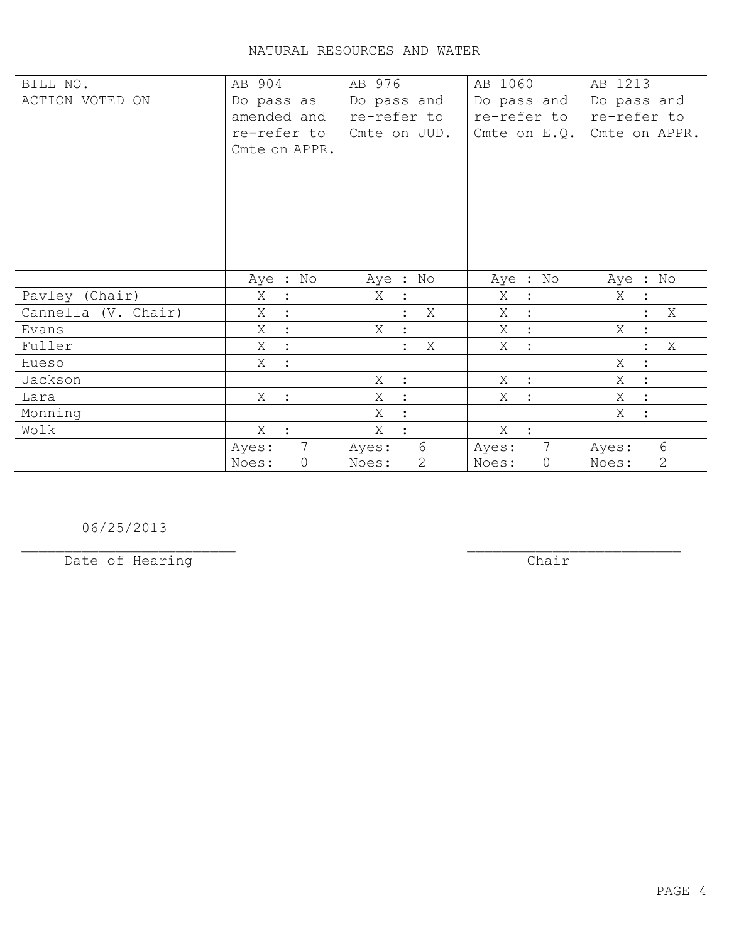| BILL NO.            | AB 904                          | AB 976                    | AB 1060                 | AB 1213                   |
|---------------------|---------------------------------|---------------------------|-------------------------|---------------------------|
| ACTION VOTED ON     | Do pass as                      | Do pass and               | Do pass and             | Do pass and               |
|                     | amended and                     | re-refer to               | re-refer to             | re-refer to               |
|                     | re-refer to                     | Cmte on JUD.              | Cmte on $E. Q.$         | Cmte on APPR.             |
|                     | Cmte on APPR.                   |                           |                         |                           |
|                     |                                 |                           |                         |                           |
|                     |                                 |                           |                         |                           |
|                     |                                 |                           |                         |                           |
|                     |                                 |                           |                         |                           |
|                     |                                 |                           |                         |                           |
|                     |                                 |                           |                         |                           |
|                     |                                 |                           |                         |                           |
|                     | Aye : No                        | Aye : No                  | Aye : No                | Aye : No                  |
| Pavley (Chair)      | Χ<br>$\ddot{\cdot}$             | X<br>$\ddot{\cdot}$       | Χ<br>$\ddot{\cdot}$     | X                         |
| Cannella (V. Chair) | X<br>$\ddot{\cdot}$             | X                         | X<br>$\ddot{\cdot}$     | X                         |
| Evans               | X<br>$\ddot{\cdot}$             | X<br>$\ddot{\cdot}$       | X<br>$\ddot{\cdot}$     | Χ<br>$\ddot{\cdot}$       |
| Fuller              | X<br>$\ddot{\cdot}$             | X<br>$\ddot{\phantom{a}}$ | X<br>$\ddot{\cdot}$     | X<br>$\ddot{\phantom{a}}$ |
| Hueso               | Χ<br>$\ddot{\cdot}$             |                           |                         | Χ<br>$\ddot{\cdot}$       |
| Jackson             |                                 | X<br>$\mathbb{R}^2$       | Χ<br>$\ddot{\cdot}$     | Χ<br>$\ddot{\cdot}$       |
| Lara                | $X_{-}$<br>$\ddot{\phantom{1}}$ | X<br>$\ddot{\cdot}$       | Χ<br>$\ddot{\cdot}$     | Χ<br>$\ddot{\cdot}$       |
| Monning             |                                 | X<br>$\ddot{\phantom{a}}$ |                         | Χ<br>$\ddot{\cdot}$       |
| Wolk                | $X$ :                           | X<br>$\ddot{\cdot}$       | X :                     |                           |
|                     | $7\phantom{.0}$<br>Ayes:        | 6<br>Ayes:                | 7<br>Ayes:              | 6<br>Ayes:                |
|                     | Noes:<br>$\mathsf{O}$           | 2<br>Noes:                | $\overline{0}$<br>Noes: | 2<br>Noes:                |

06/25/2013

Date of Hearing